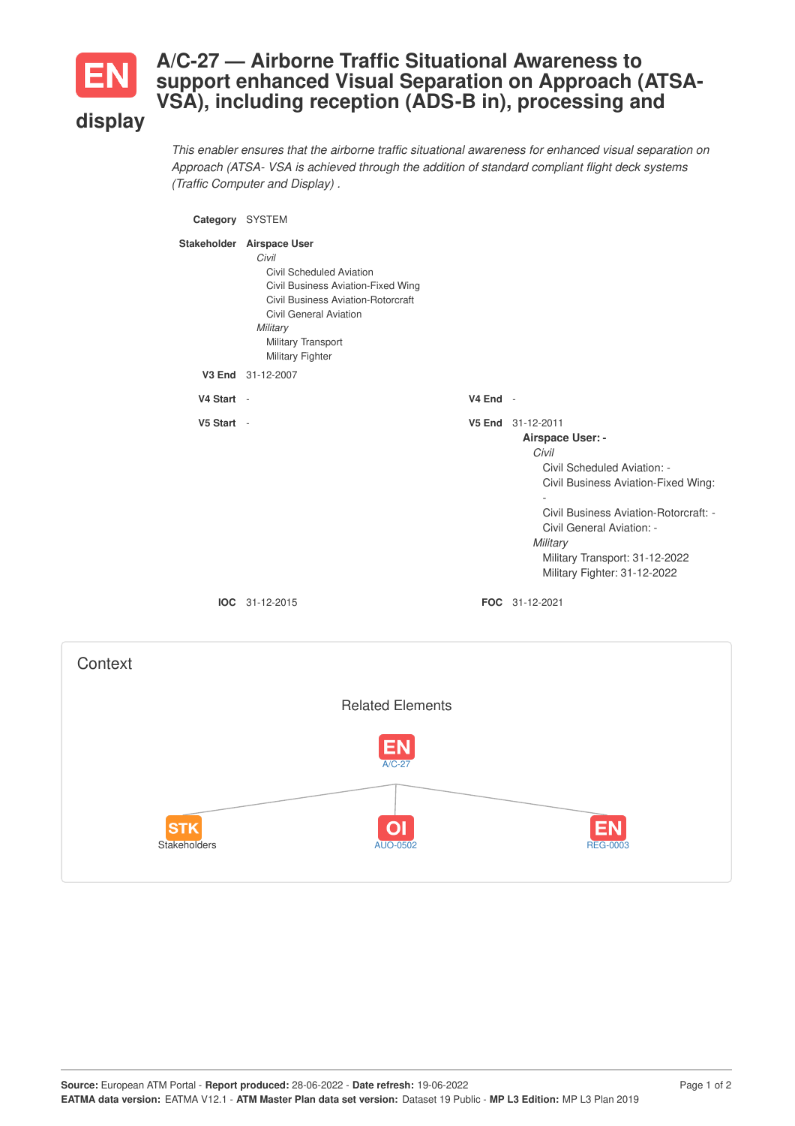

## **A/C-27 — Airborne Traffic Situational Awareness to support enhanced Visual Separation on Approach (ATSA-VSA), including reception (ADS-B in), processing and**

## **display**

*This enabler ensures that the airborne traffic situational awareness for enhanced visual separation on Approach (ATSA- VSA is achieved through the addition of standard compliant flight deck systems (Traffic Computer and Display) .*



Stakeholders AUO-0502 REG-0003